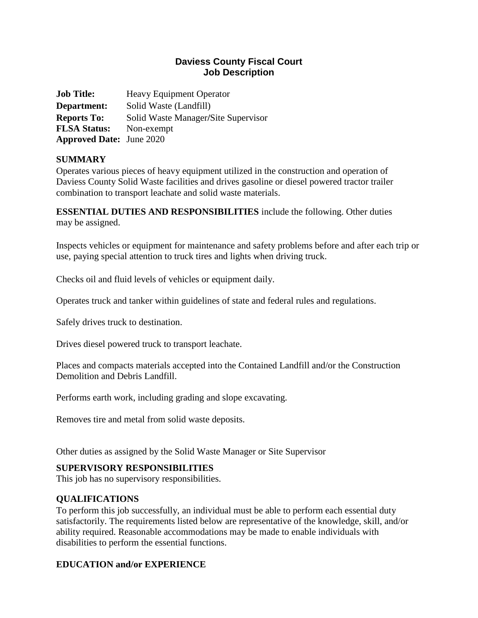## **Daviess County Fiscal Court Job Description**

**Job Title:** Heavy Equipment Operator **Department:** Solid Waste (Landfill) **Reports To:** Solid Waste Manager**/**Site Supervisor **FLSA Status:** Non-exempt **Approved Date:** June 2020

## **SUMMARY**

Operates various pieces of heavy equipment utilized in the construction and operation of Daviess County Solid Waste facilities and drives gasoline or diesel powered tractor trailer combination to transport leachate and solid waste materials.

**ESSENTIAL DUTIES AND RESPONSIBILITIES** include the following. Other duties may be assigned.

Inspects vehicles or equipment for maintenance and safety problems before and after each trip or use, paying special attention to truck tires and lights when driving truck.

Checks oil and fluid levels of vehicles or equipment daily.

Operates truck and tanker within guidelines of state and federal rules and regulations.

Safely drives truck to destination.

Drives diesel powered truck to transport leachate.

Places and compacts materials accepted into the Contained Landfill and/or the Construction Demolition and Debris Landfill.

Performs earth work, including grading and slope excavating.

Removes tire and metal from solid waste deposits.

Other duties as assigned by the Solid Waste Manager or Site Supervisor

### **SUPERVISORY RESPONSIBILITIES**

This job has no supervisory responsibilities.

### **QUALIFICATIONS**

To perform this job successfully, an individual must be able to perform each essential duty satisfactorily. The requirements listed below are representative of the knowledge, skill, and/or ability required. Reasonable accommodations may be made to enable individuals with disabilities to perform the essential functions.

## **EDUCATION and/or EXPERIENCE**